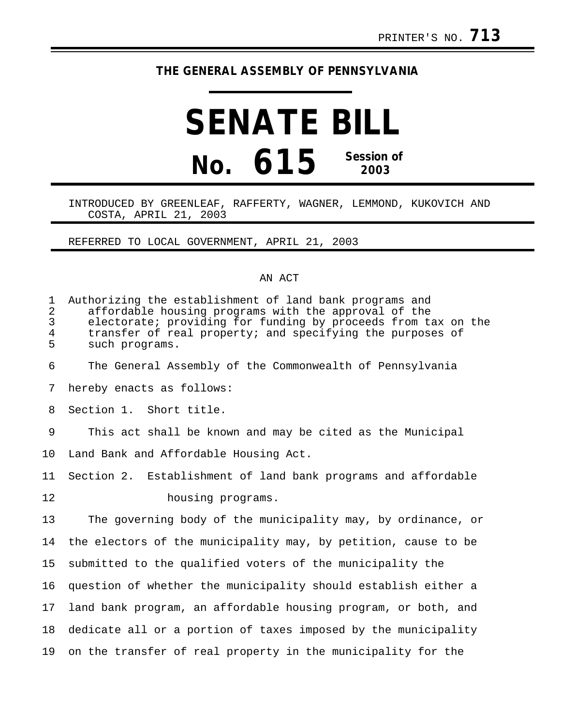## **THE GENERAL ASSEMBLY OF PENNSYLVANIA**

## **SENATE BILL No. 615 Session of 2003**

## INTRODUCED BY GREENLEAF, RAFFERTY, WAGNER, LEMMOND, KUKOVICH AND COSTA, APRIL 21, 2003

REFERRED TO LOCAL GOVERNMENT, APRIL 21, 2003

## AN ACT

| 1<br>$\overline{2}$<br>3<br>$\overline{4}$<br>5 | Authorizing the establishment of land bank programs and<br>affordable housing programs with the approval of the<br>electorate; providing for funding by proceeds from tax on the<br>transfer of real property; and specifying the purposes of<br>such programs. |
|-------------------------------------------------|-----------------------------------------------------------------------------------------------------------------------------------------------------------------------------------------------------------------------------------------------------------------|
| 6                                               | The General Assembly of the Commonwealth of Pennsylvania                                                                                                                                                                                                        |
| 7                                               | hereby enacts as follows:                                                                                                                                                                                                                                       |
| 8                                               | Section 1. Short title.                                                                                                                                                                                                                                         |
| 9                                               | This act shall be known and may be cited as the Municipal                                                                                                                                                                                                       |
| 10                                              | Land Bank and Affordable Housing Act.                                                                                                                                                                                                                           |
| 11                                              | Section 2. Establishment of land bank programs and affordable                                                                                                                                                                                                   |
| 12                                              | housing programs.                                                                                                                                                                                                                                               |
| 13                                              | The governing body of the municipality may, by ordinance, or                                                                                                                                                                                                    |
| 14                                              | the electors of the municipality may, by petition, cause to be                                                                                                                                                                                                  |
| 15                                              | submitted to the qualified voters of the municipality the                                                                                                                                                                                                       |
| 16                                              | question of whether the municipality should establish either a                                                                                                                                                                                                  |
| 17                                              | land bank program, an affordable housing program, or both, and                                                                                                                                                                                                  |
| 18                                              | dedicate all or a portion of taxes imposed by the municipality                                                                                                                                                                                                  |
| 19                                              | on the transfer of real property in the municipality for the                                                                                                                                                                                                    |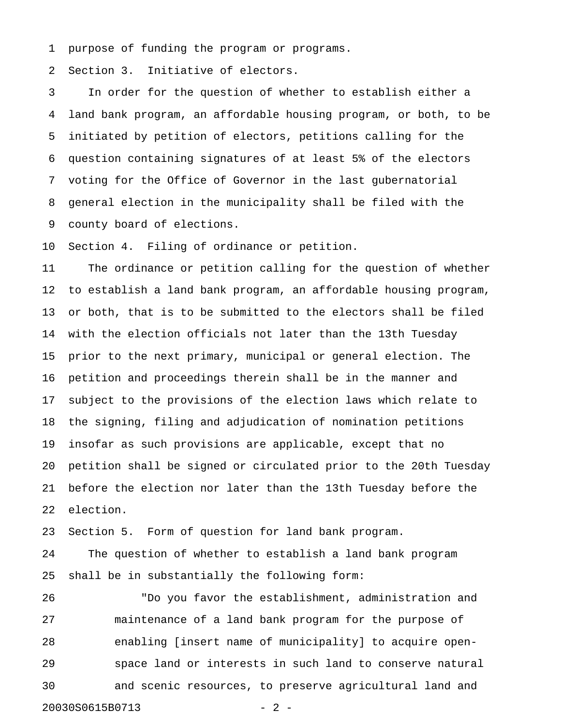1 purpose of funding the program or programs.

2 Section 3. Initiative of electors.

3 In order for the question of whether to establish either a 4 land bank program, an affordable housing program, or both, to be 5 initiated by petition of electors, petitions calling for the 6 question containing signatures of at least 5% of the electors 7 voting for the Office of Governor in the last gubernatorial 8 general election in the municipality shall be filed with the 9 county board of elections.

10 Section 4. Filing of ordinance or petition.

11 The ordinance or petition calling for the question of whether 12 to establish a land bank program, an affordable housing program, 13 or both, that is to be submitted to the electors shall be filed 14 with the election officials not later than the 13th Tuesday 15 prior to the next primary, municipal or general election. The 16 petition and proceedings therein shall be in the manner and 17 subject to the provisions of the election laws which relate to 18 the signing, filing and adjudication of nomination petitions 19 insofar as such provisions are applicable, except that no 20 petition shall be signed or circulated prior to the 20th Tuesday 21 before the election nor later than the 13th Tuesday before the 22 election.

23 Section 5. Form of question for land bank program.

24 The question of whether to establish a land bank program 25 shall be in substantially the following form:

26 "Do you favor the establishment, administration and 27 maintenance of a land bank program for the purpose of 28 enabling [insert name of municipality] to acquire open-29 space land or interests in such land to conserve natural 30 and scenic resources, to preserve agricultural land and 20030S0615B0713 - 2 -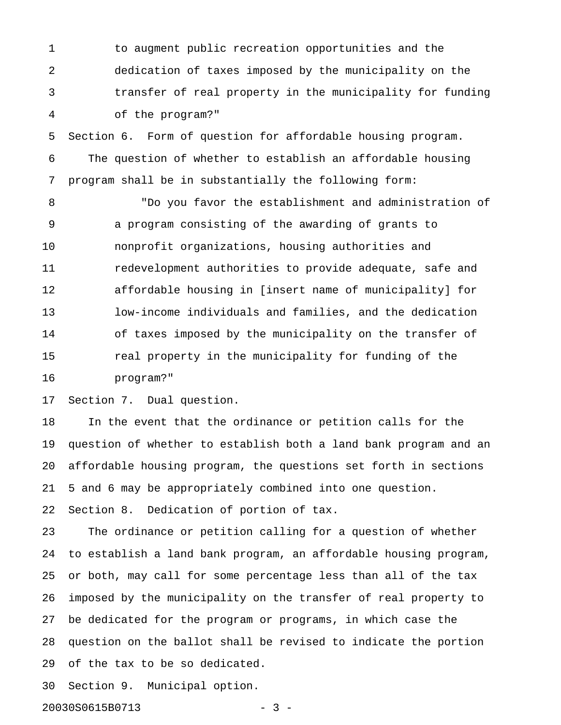1 to augment public recreation opportunities and the 2 dedication of taxes imposed by the municipality on the 3 transfer of real property in the municipality for funding 4 of the program?"

5 Section 6. Form of question for affordable housing program. 6 The question of whether to establish an affordable housing 7 program shall be in substantially the following form:

8 "Do you favor the establishment and administration of 9 a program consisting of the awarding of grants to 10 nonprofit organizations, housing authorities and 11 redevelopment authorities to provide adequate, safe and 12 affordable housing in [insert name of municipality] for 13 low-income individuals and families, and the dedication 14 of taxes imposed by the municipality on the transfer of 15 **real property in the municipality for funding of the** 16 program?"

17 Section 7. Dual question.

18 In the event that the ordinance or petition calls for the 19 question of whether to establish both a land bank program and an 20 affordable housing program, the questions set forth in sections 21 5 and 6 may be appropriately combined into one question.

22 Section 8. Dedication of portion of tax.

23 The ordinance or petition calling for a question of whether 24 to establish a land bank program, an affordable housing program, 25 or both, may call for some percentage less than all of the tax 26 imposed by the municipality on the transfer of real property to 27 be dedicated for the program or programs, in which case the 28 question on the ballot shall be revised to indicate the portion 29 of the tax to be so dedicated.

30 Section 9. Municipal option.

20030S0615B0713 - 3 -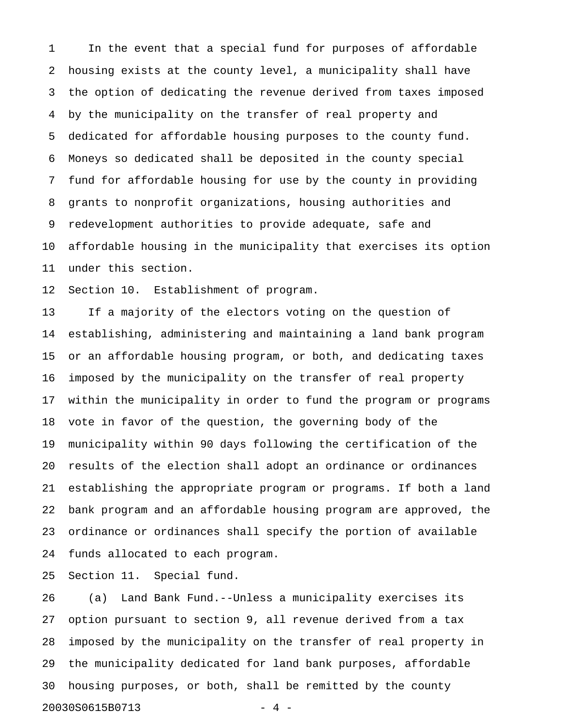1 In the event that a special fund for purposes of affordable 2 housing exists at the county level, a municipality shall have 3 the option of dedicating the revenue derived from taxes imposed 4 by the municipality on the transfer of real property and 5 dedicated for affordable housing purposes to the county fund. 6 Moneys so dedicated shall be deposited in the county special 7 fund for affordable housing for use by the county in providing 8 grants to nonprofit organizations, housing authorities and 9 redevelopment authorities to provide adequate, safe and 10 affordable housing in the municipality that exercises its option 11 under this section.

12 Section 10. Establishment of program.

13 If a majority of the electors voting on the question of 14 establishing, administering and maintaining a land bank program 15 or an affordable housing program, or both, and dedicating taxes 16 imposed by the municipality on the transfer of real property 17 within the municipality in order to fund the program or programs 18 vote in favor of the question, the governing body of the 19 municipality within 90 days following the certification of the 20 results of the election shall adopt an ordinance or ordinances 21 establishing the appropriate program or programs. If both a land 22 bank program and an affordable housing program are approved, the 23 ordinance or ordinances shall specify the portion of available 24 funds allocated to each program.

25 Section 11. Special fund.

26 (a) Land Bank Fund.--Unless a municipality exercises its 27 option pursuant to section 9, all revenue derived from a tax 28 imposed by the municipality on the transfer of real property in 29 the municipality dedicated for land bank purposes, affordable 30 housing purposes, or both, shall be remitted by the county 20030S0615B0713 - 4 -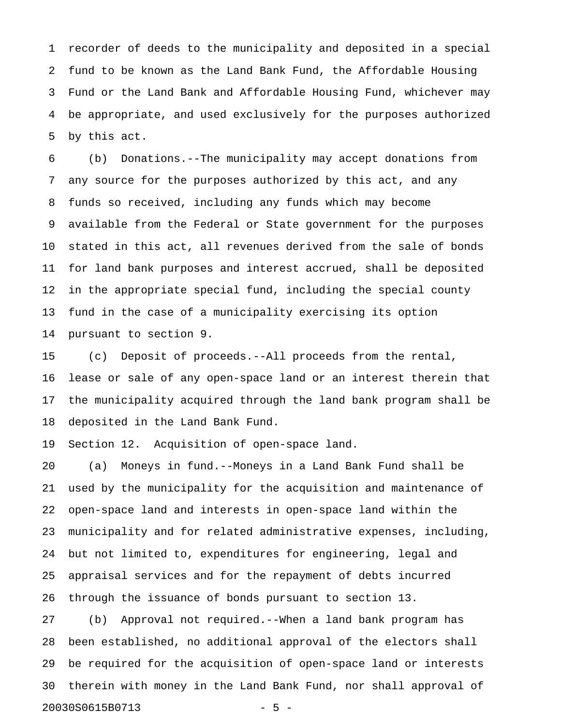1 recorder of deeds to the municipality and deposited in a special 2 fund to be known as the Land Bank Fund, the Affordable Housing 3 Fund or the Land Bank and Affordable Housing Fund, whichever may 4 be appropriate, and used exclusively for the purposes authorized 5 by this act.

6 (b) Donations.--The municipality may accept donations from 7 any source for the purposes authorized by this act, and any 8 funds so received, including any funds which may become 9 available from the Federal or State government for the purposes 10 stated in this act, all revenues derived from the sale of bonds 11 for land bank purposes and interest accrued, shall be deposited 12 in the appropriate special fund, including the special county 13 fund in the case of a municipality exercising its option 14 pursuant to section 9.

15 (c) Deposit of proceeds.--All proceeds from the rental, 16 lease or sale of any open-space land or an interest therein that 17 the municipality acquired through the land bank program shall be 18 deposited in the Land Bank Fund.

19 Section 12. Acquisition of open-space land.

20 (a) Moneys in fund.--Moneys in a Land Bank Fund shall be 21 used by the municipality for the acquisition and maintenance of 22 open-space land and interests in open-space land within the 23 municipality and for related administrative expenses, including, 24 but not limited to, expenditures for engineering, legal and 25 appraisal services and for the repayment of debts incurred 26 through the issuance of bonds pursuant to section 13.

27 (b) Approval not required.--When a land bank program has 28 been established, no additional approval of the electors shall 29 be required for the acquisition of open-space land or interests 30 therein with money in the Land Bank Fund, nor shall approval of 20030S0615B0713 - 5 -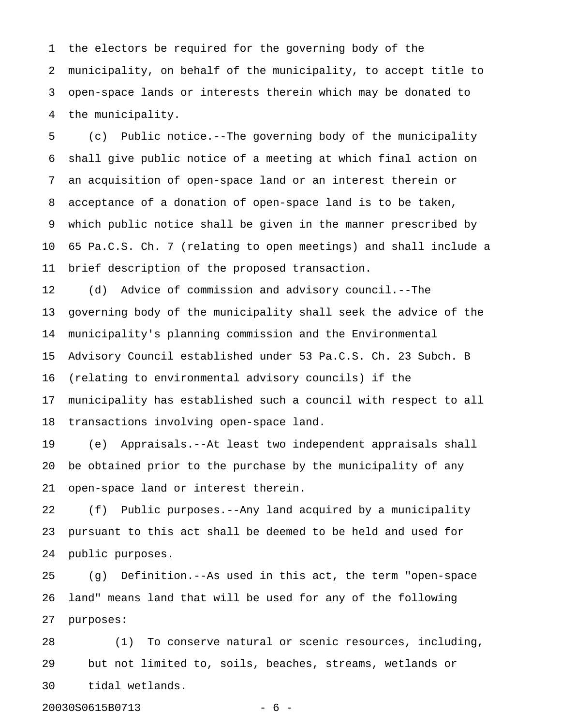1 the electors be required for the governing body of the 2 municipality, on behalf of the municipality, to accept title to 3 open-space lands or interests therein which may be donated to 4 the municipality.

5 (c) Public notice.--The governing body of the municipality 6 shall give public notice of a meeting at which final action on 7 an acquisition of open-space land or an interest therein or 8 acceptance of a donation of open-space land is to be taken, 9 which public notice shall be given in the manner prescribed by 10 65 Pa.C.S. Ch. 7 (relating to open meetings) and shall include a 11 brief description of the proposed transaction.

12 (d) Advice of commission and advisory council.--The 13 governing body of the municipality shall seek the advice of the 14 municipality's planning commission and the Environmental 15 Advisory Council established under 53 Pa.C.S. Ch. 23 Subch. B 16 (relating to environmental advisory councils) if the 17 municipality has established such a council with respect to all 18 transactions involving open-space land.

19 (e) Appraisals.--At least two independent appraisals shall 20 be obtained prior to the purchase by the municipality of any 21 open-space land or interest therein.

22 (f) Public purposes.--Any land acquired by a municipality 23 pursuant to this act shall be deemed to be held and used for 24 public purposes.

25 (g) Definition.--As used in this act, the term "open-space 26 land" means land that will be used for any of the following 27 purposes:

28 (1) To conserve natural or scenic resources, including, 29 but not limited to, soils, beaches, streams, wetlands or 30 tidal wetlands.

20030S0615B0713 - 6 -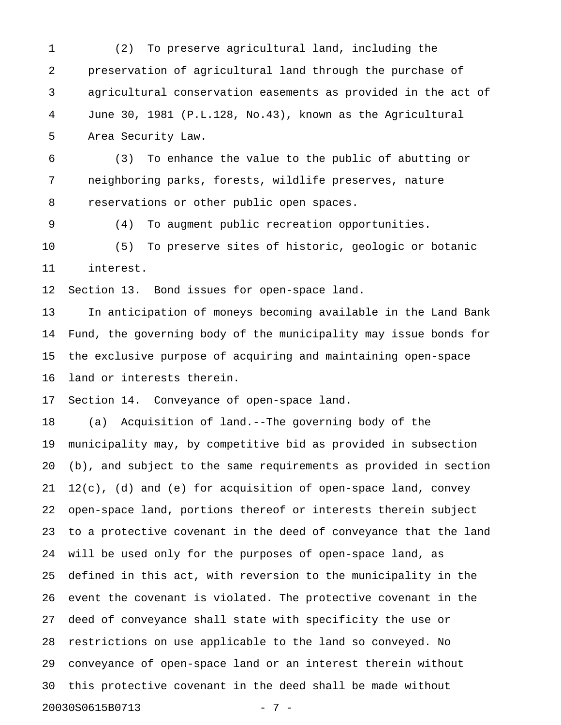1 (2) To preserve agricultural land, including the 2 preservation of agricultural land through the purchase of 3 agricultural conservation easements as provided in the act of 4 June 30, 1981 (P.L.128, No.43), known as the Agricultural 5 Area Security Law.

6 (3) To enhance the value to the public of abutting or 7 neighboring parks, forests, wildlife preserves, nature 8 reservations or other public open spaces.

9 (4) To augment public recreation opportunities. 10 (5) To preserve sites of historic, geologic or botanic 11 interest.

12 Section 13. Bond issues for open-space land.

13 In anticipation of moneys becoming available in the Land Bank 14 Fund, the governing body of the municipality may issue bonds for 15 the exclusive purpose of acquiring and maintaining open-space 16 land or interests therein.

17 Section 14. Conveyance of open-space land.

18 (a) Acquisition of land.--The governing body of the 19 municipality may, by competitive bid as provided in subsection 20 (b), and subject to the same requirements as provided in section 21 12(c), (d) and (e) for acquisition of open-space land, convey 22 open-space land, portions thereof or interests therein subject 23 to a protective covenant in the deed of conveyance that the land 24 will be used only for the purposes of open-space land, as 25 defined in this act, with reversion to the municipality in the 26 event the covenant is violated. The protective covenant in the 27 deed of conveyance shall state with specificity the use or 28 restrictions on use applicable to the land so conveyed. No 29 conveyance of open-space land or an interest therein without 30 this protective covenant in the deed shall be made without 20030S0615B0713 - 7 -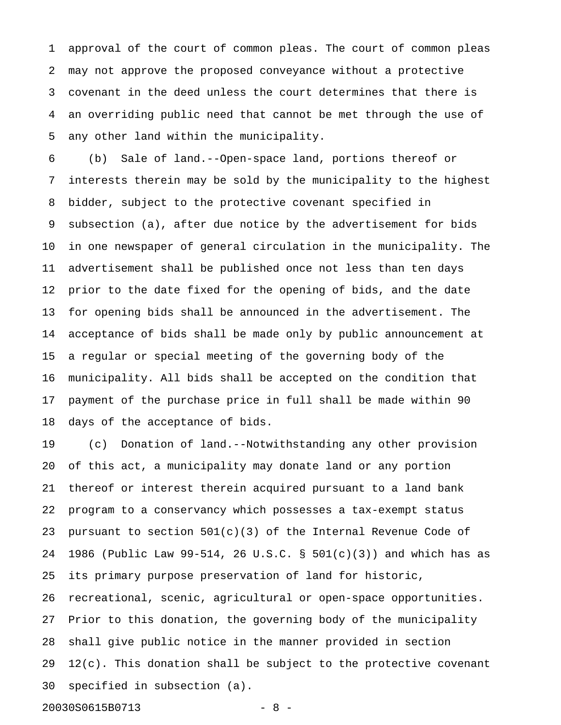1 approval of the court of common pleas. The court of common pleas 2 may not approve the proposed conveyance without a protective 3 covenant in the deed unless the court determines that there is 4 an overriding public need that cannot be met through the use of 5 any other land within the municipality.

6 (b) Sale of land.--Open-space land, portions thereof or 7 interests therein may be sold by the municipality to the highest 8 bidder, subject to the protective covenant specified in 9 subsection (a), after due notice by the advertisement for bids 10 in one newspaper of general circulation in the municipality. The 11 advertisement shall be published once not less than ten days 12 prior to the date fixed for the opening of bids, and the date 13 for opening bids shall be announced in the advertisement. The 14 acceptance of bids shall be made only by public announcement at 15 a regular or special meeting of the governing body of the 16 municipality. All bids shall be accepted on the condition that 17 payment of the purchase price in full shall be made within 90 18 days of the acceptance of bids.

19 (c) Donation of land.--Notwithstanding any other provision 20 of this act, a municipality may donate land or any portion 21 thereof or interest therein acquired pursuant to a land bank 22 program to a conservancy which possesses a tax-exempt status 23 pursuant to section  $501(c)(3)$  of the Internal Revenue Code of 24 1986 (Public Law 99-514, 26 U.S.C. § 501(c)(3)) and which has as 25 its primary purpose preservation of land for historic, 26 recreational, scenic, agricultural or open-space opportunities. 27 Prior to this donation, the governing body of the municipality 28 shall give public notice in the manner provided in section  $29$   $12(c)$ . This donation shall be subject to the protective covenant 30 specified in subsection (a).

20030S0615B0713 - 8 -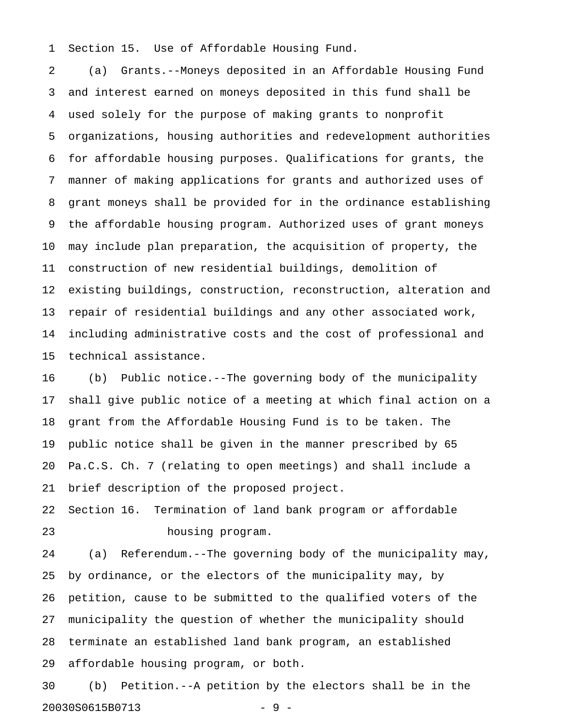1 Section 15. Use of Affordable Housing Fund.

2 (a) Grants.--Moneys deposited in an Affordable Housing Fund 3 and interest earned on moneys deposited in this fund shall be 4 used solely for the purpose of making grants to nonprofit 5 organizations, housing authorities and redevelopment authorities 6 for affordable housing purposes. Qualifications for grants, the 7 manner of making applications for grants and authorized uses of 8 grant moneys shall be provided for in the ordinance establishing 9 the affordable housing program. Authorized uses of grant moneys 10 may include plan preparation, the acquisition of property, the 11 construction of new residential buildings, demolition of 12 existing buildings, construction, reconstruction, alteration and 13 repair of residential buildings and any other associated work, 14 including administrative costs and the cost of professional and 15 technical assistance.

16 (b) Public notice.--The governing body of the municipality 17 shall give public notice of a meeting at which final action on a 18 grant from the Affordable Housing Fund is to be taken. The 19 public notice shall be given in the manner prescribed by 65 20 Pa.C.S. Ch. 7 (relating to open meetings) and shall include a 21 brief description of the proposed project.

22 Section 16. Termination of land bank program or affordable 23 housing program.

24 (a) Referendum.--The governing body of the municipality may, 25 by ordinance, or the electors of the municipality may, by 26 petition, cause to be submitted to the qualified voters of the 27 municipality the question of whether the municipality should 28 terminate an established land bank program, an established 29 affordable housing program, or both.

30 (b) Petition.--A petition by the electors shall be in the 20030S0615B0713 - 9 -